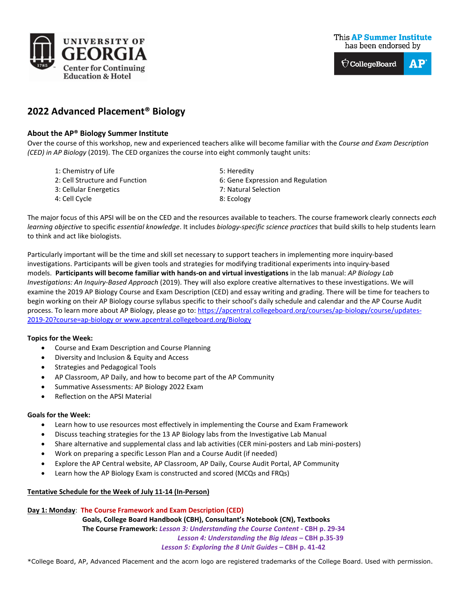

**This AP Summer Institute** has been endorsed by



# **2022 Advanced Placement® Biology**

# **About the AP® Biology Summer Institute**

Over the course of this workshop, new and experienced teachers alike will become familiar with the *Course and Exam Description (CED) in AP Biology* (2019). The CED organizes the course into eight commonly taught units:

| 1: Chemistry of Life           | 5: Heredity                       |
|--------------------------------|-----------------------------------|
| 2: Cell Structure and Function | 6: Gene Expression and Regulation |
| 3: Cellular Energetics         | 7: Natural Selection              |
| 4: Cell Cycle                  | 8: Ecology                        |

The major focus of this APSI will be on the CED and the resources available to teachers. The course framework clearly connects *each learning objective* to specific *essential knowledge*. It includes *biology-specific science practices* that build skills to help students learn to think and act like biologists.

Particularly important will be the time and skill set necessary to support teachers in implementing more inquiry-based investigations. Participants will be given tools and strategies for modifying traditional experiments into inquiry-based models. **Participants will become familiar with hands-on and virtual investigations** in the lab manual: *AP Biology Lab Investigations: An Inquiry-Based Approach* (2019). They will also explore creative alternatives to these investigations. We will examine the 2019 AP Biology Course and Exam Description (CED) and essay writing and grading. There will be time for teachers to begin working on their AP Biology course syllabus specific to their school's daily schedule and calendar and the AP Course Audit process. To learn more about AP Biology, please go to[: https://apcentral.collegeboard.org/courses/ap-biology/course/updates-](https://apcentral.collegeboard.org/courses/ap-biology/course/updates-2019-20?course=ap-biology)[2019-20?course=ap-biology](https://apcentral.collegeboard.org/courses/ap-biology/course/updates-2019-20?course=ap-biology) or [www.apcentral.collegeboard.org/Biology](http://www.apcentral.collegeboard.org/Biology)

# **Topics for the Week:**

- Course and Exam Description and Course Planning
- Diversity and Inclusion & Equity and Access
- Strategies and Pedagogical Tools
- AP Classroom, AP Daily, and how to become part of the AP Community
- Summative Assessments: AP Biology 2022 Exam
- Reflection on the APSI Material

# **Goals for the Week:**

- Learn how to use resources most effectively in implementing the Course and Exam Framework
- Discuss teaching strategies for the 13 AP Biology labs from the Investigative Lab Manual
- Share alternative and supplemental class and lab activities (CER mini-posters and Lab mini-posters)
- Work on preparing a specific Lesson Plan and a Course Audit (if needed)
- Explore the AP Central website, AP Classroom, AP Daily, Course Audit Portal, AP Community
- Learn how the AP Biology Exam is constructed and scored (MCQs and FRQs)

# **Tentative Schedule for the Week of July 11-14 (In-Person)**

# **Day 1: Monday**: **The Course Framework and Exam Description (CED)**

**Goals, College Board Handbook (CBH), Consultant's Notebook (CN), Textbooks The Course Framework:** *Lesson 3: Understanding the Course Content* **- CBH p. 29-34**  *Lesson 4: Understanding the Big Ideas –* **CBH p.35-39**  *Lesson 5: Exploring the 8 Unit Guides* **– CBH p. 41-42**

\*College Board, AP, Advanced Placement and the acorn logo are registered trademarks of the College Board. Used with permission.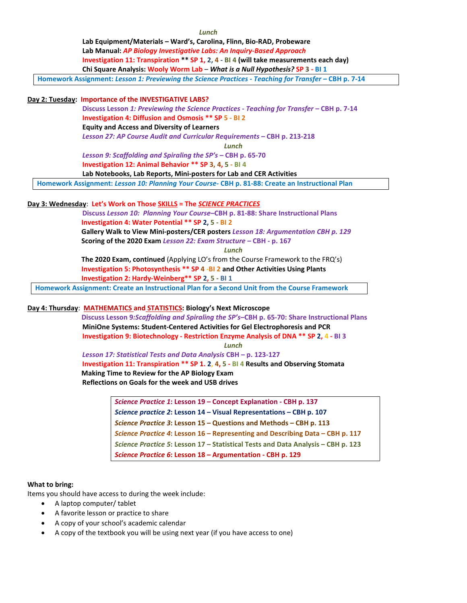*<i><u>Lunch</u> Lunch* **Lab Equipment/Materials – Ward's, Carolina, Flinn, Bio-RAD, Probeware Lab Manual:** *AP Biology Investigative Labs: An Inquiry-Based Approach* **Investigation 11: Transpiration \*\* SP 1, 2, 4 - BI 4 (will take measurements each day) Chi Square Analysis: Wooly Worm Lab** – *What is a Null Hypothesis?* **SP 3 - BI 1**

**Homework Assignment:** *Lesson 1: Previewing the Science Practices - Teaching for Transfer –* **CBH p. 7-14**

#### **Day 2: Tuesday: Importance of the INVESTIGATIVE LABS?**

**Discuss Lesson** *1: Previewing the Science Practices - Teaching for Transfer –* **CBH p. 7-14 Investigation 4: Diffusion and Osmosis \*\* SP 5 - BI 2 Equity and Access and Diversity of Learners** *Lesson 27: AP Course Audit and Curricular Requirements –* **CBH p. 213-218**

*Lunch*

*Lesson 9: Scaffolding and Spiraling the SP's –* **CBH p. 65-70 Investigation 12: Animal Behavior \*\* SP 3, 4, 5 - BI 4**

**Lab Notebooks, Lab Reports, Mini-posters for Lab and CER Activities**

**Homework Assignment:** *Lesson 10: Planning Your Course-* **CBH p. 81-88: Create an Instructional Plan**

## **Day 3: Wednesday**: **Let's Work on Those SKILLS = The** *SCIENCE PRACTICES*

**Discuss** *Lesson 10: Planning Your Course–***CBH p. 81-88: Share Instructional Plans Investigation 4: Water Potential \*\* SP 2, 5 - BI 2 Gallery Walk to View Mini-posters/CER posters** *Lesson 18: Argumentation CBH p. 129* **Scoring of the 2020 Exam** *Lesson 22: Exam Structure –* **CBH - p. 167**

*Lunch*

**The 2020 Exam, continued** (Applying LO's from the Course Framework to the FRQ's) **Investigation 5: Photosynthesis \*\* SP 4 -BI 2 and Other Activities Using Plants Investigation 2: Hardy-Weinberg\*\* SP 2, 5 - BI 1**

**Homework Assignment: Create an Instructional Plan for a Second Unit from the Course Framework**

## **Day 4: Thursday**: **MATHEMATICS and STATISTICS: Biology's Next Microscope**

**Discuss Lesson 9***:Scaffolding and Spiraling the SP's–***CBH p. 65-70: Share Instructional Plans MiniOne Systems: Student-Centered Activities for Gel Electrophoresis and PCR Investigation 9: Biotechnology - Restriction Enzyme Analysis of DNA \*\* SP 2, 4 - BI 3**

*Lunch*

*Lesson 17: Statistical Tests and Data Analysis* **CBH – p. 123-127 Investigation 11: Transpiration \*\* SP 1. 2, 4, 5 - BI 4 Results and Observing Stomata Making Time to Review for the AP Biology Exam Reflections on Goals for the week and USB drives**

> *Science Practice 1***: Lesson 19 – Concept Explanation - CBH p. 137** *Science practice 2***: Lesson 14 – Visual Representations – CBH p. 107** *Science Practice 3***: Lesson 15 – Questions and Methods – CBH p. 113** *Science Practice 4***: Lesson 16 – Representing and Describing Data – CBH p. 117** *Science Practice 5***: Lesson 17 – Statistical Tests and Data Analysis – CBH p. 123** *Science Practice 6***: Lesson 18 – Argumentation - CBH p. 129**

## **What to bring:**

Items you should have access to during the week include:

- A laptop computer/ tablet
- A favorite lesson or practice to share
- A copy of your school's academic calendar
- A copy of the textbook you will be using next year (if you have access to one)